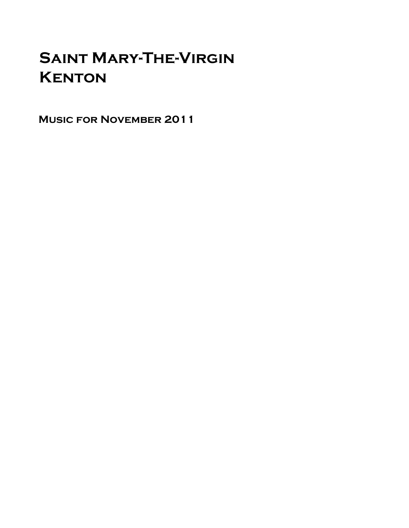# Saint Mary-The-Virgin **KENTON**

Music for November 2011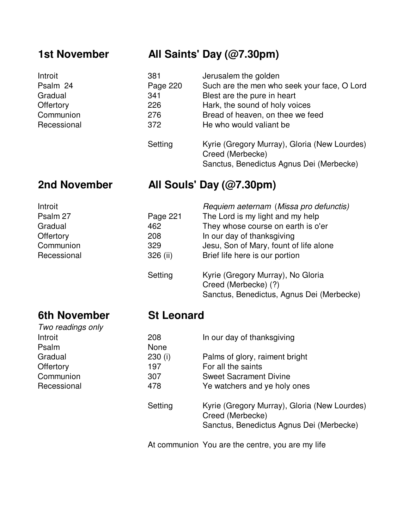### **1st November All Saints' Day (@7.30pm)**

| Introit     | 381      | Jerusalem the golden                                                                                         |
|-------------|----------|--------------------------------------------------------------------------------------------------------------|
| Psalm 24    | Page 220 | Such are the men who seek your face, O Lord                                                                  |
| Gradual     | 341      | Blest are the pure in heart                                                                                  |
| Offertory   | 226      | Hark, the sound of holy voices                                                                               |
| Communion   | 276      | Bread of heaven, on thee we feed                                                                             |
| Recessional | 372      | He who would valiant be                                                                                      |
|             | Setting  | Kyrie (Gregory Murray), Gloria (New Lourdes)<br>Creed (Merbecke)<br>Sanctus, Benedictus Agnus Dei (Merbecke) |

### **2nd November All Souls' Day (@7.30pm)**

| Introit     |          | Requiem aeternam (Missa pro defunctis) |
|-------------|----------|----------------------------------------|
| Psalm 27    | Page 221 | The Lord is my light and my help       |
| Gradual     | 462      | They whose course on earth is o'er     |
| Offertory   | 208      | In our day of thanksgiving             |
| Communion   | 329      | Jesu, Son of Mary, fount of life alone |
| Recessional | 326 (ii) | Brief life here is our portion         |
|             |          |                                        |

| Setting | Kyrie (Gregory Murray), No Gloria         |
|---------|-------------------------------------------|
|         | Creed (Merbecke) (?)                      |
|         | Sanctus, Benedictus, Agnus Dei (Merbecke) |

### **6th November St Leonard** Two readings only

Psalm

| 1.10121111900111 |             |                                                                                                              |
|------------------|-------------|--------------------------------------------------------------------------------------------------------------|
| Introit          | 208         | In our day of thanksgiving                                                                                   |
| Psalm            | <b>None</b> |                                                                                                              |
| Gradual          | 230(i)      | Palms of glory, raiment bright                                                                               |
| Offertory        | 197         | For all the saints                                                                                           |
| Communion        | 307         | <b>Sweet Sacrament Divine</b>                                                                                |
| Recessional      | 478         | Ye watchers and ye holy ones                                                                                 |
|                  | Setting     | Kyrie (Gregory Murray), Gloria (New Lourdes)<br>Creed (Merbecke)<br>Sanctus, Benedictus Agnus Dei (Merbecke) |
|                  |             |                                                                                                              |

At communion You are the centre, you are my life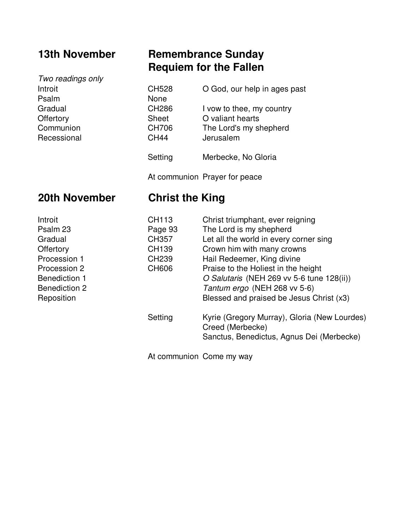Two readings only Psalm Gradual Offertory Communion Recessional

### **13th November Remembrance Sunday Requiem for the Fallen**

| Introit     | <b>CH528</b> | O God, our help in ages past |
|-------------|--------------|------------------------------|
| Psalm       | None         |                              |
| Gradual     | <b>CH286</b> | I vow to thee, my country    |
| Offertory   | <b>Sheet</b> | O valiant hearts             |
| Communion   | <b>CH706</b> | The Lord's my shepherd       |
| Recessional | <b>CH44</b>  | Jerusalem                    |
|             | Setting      | Merbecke, No Gloria          |

At communion Prayer for peace

### **20th November Christ the King**

| Introit              | CH113        | Christ triumphant, ever reigning             |
|----------------------|--------------|----------------------------------------------|
| Psalm 23             | Page 93      | The Lord is my shepherd                      |
| Gradual              | CH357        | Let all the world in every corner sing       |
| Offertory            | CH139        | Crown him with many crowns                   |
| Procession 1         | <b>CH239</b> | Hail Redeemer, King divine                   |
| Procession 2         | CH606        | Praise to the Holiest in the height          |
| <b>Benediction 1</b> |              | O Salutaris (NEH 269 vv 5-6 tune 128(ii))    |
| <b>Benediction 2</b> |              | Tantum ergo (NEH 268 vv 5-6)                 |
| Reposition           |              | Blessed and praised be Jesus Christ (x3)     |
|                      | Setting      | Kyrie (Gregory Murray), Gloria (New Lourdes) |
|                      |              | Creed (Merbecke)                             |
|                      |              | Sanctus, Benedictus, Agnus Dei (Merbecke)    |

At communion Come my way